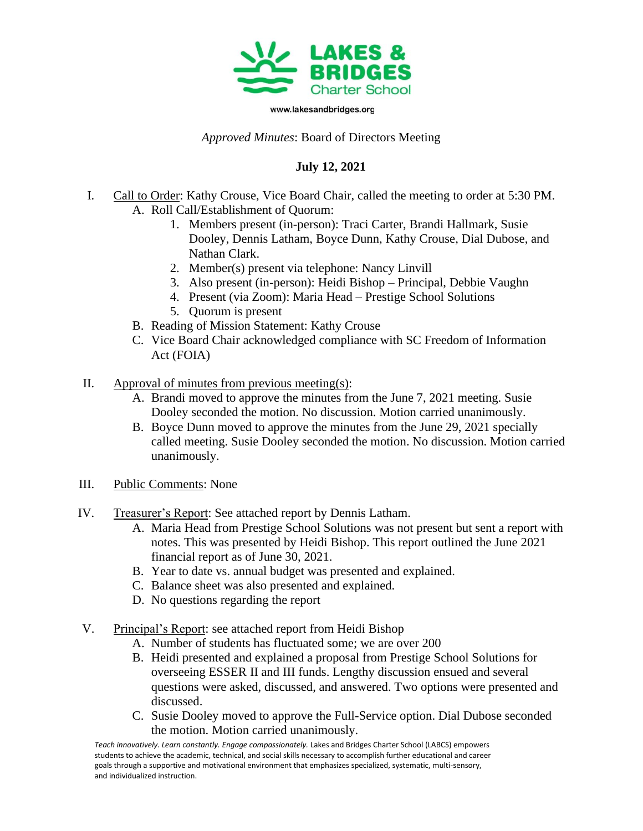

www.lakesandbridges.org

## *Approved Minutes*: Board of Directors Meeting

## **July 12, 2021**

- I. Call to Order: Kathy Crouse, Vice Board Chair, called the meeting to order at 5:30 PM. A. Roll Call/Establishment of Quorum:
	- 1. Members present (in-person): Traci Carter, Brandi Hallmark, Susie Dooley, Dennis Latham, Boyce Dunn, Kathy Crouse, Dial Dubose, and Nathan Clark.
	- 2. Member(s) present via telephone: Nancy Linvill
	- 3. Also present (in-person): Heidi Bishop Principal, Debbie Vaughn
	- 4. Present (via Zoom): Maria Head Prestige School Solutions
	- 5. Quorum is present
	- B. Reading of Mission Statement: Kathy Crouse
	- C. Vice Board Chair acknowledged compliance with SC Freedom of Information Act (FOIA)
- II. Approval of minutes from previous meeting(s):
	- A. Brandi moved to approve the minutes from the June 7, 2021 meeting. Susie Dooley seconded the motion. No discussion. Motion carried unanimously.
	- B. Boyce Dunn moved to approve the minutes from the June 29, 2021 specially called meeting. Susie Dooley seconded the motion. No discussion. Motion carried unanimously.
- III. Public Comments: None
- IV. Treasurer's Report: See attached report by Dennis Latham.
	- A. Maria Head from Prestige School Solutions was not present but sent a report with notes. This was presented by Heidi Bishop. This report outlined the June 2021 financial report as of June 30, 2021.
	- B. Year to date vs. annual budget was presented and explained.
	- C. Balance sheet was also presented and explained.
	- D. No questions regarding the report
- V. Principal's Report: see attached report from Heidi Bishop
	- A. Number of students has fluctuated some; we are over 200
	- B. Heidi presented and explained a proposal from Prestige School Solutions for overseeing ESSER II and III funds. Lengthy discussion ensued and several questions were asked, discussed, and answered. Two options were presented and discussed.
	- C. Susie Dooley moved to approve the Full-Service option. Dial Dubose seconded the motion. Motion carried unanimously.

*Teach innovatively. Learn constantly. Engage compassionately.* Lakes and Bridges Charter School (LABCS) empowers students to achieve the academic, technical, and social skills necessary to accomplish further educational and career goals through a supportive and motivational environment that emphasizes specialized, systematic, multi-sensory, and individualized instruction.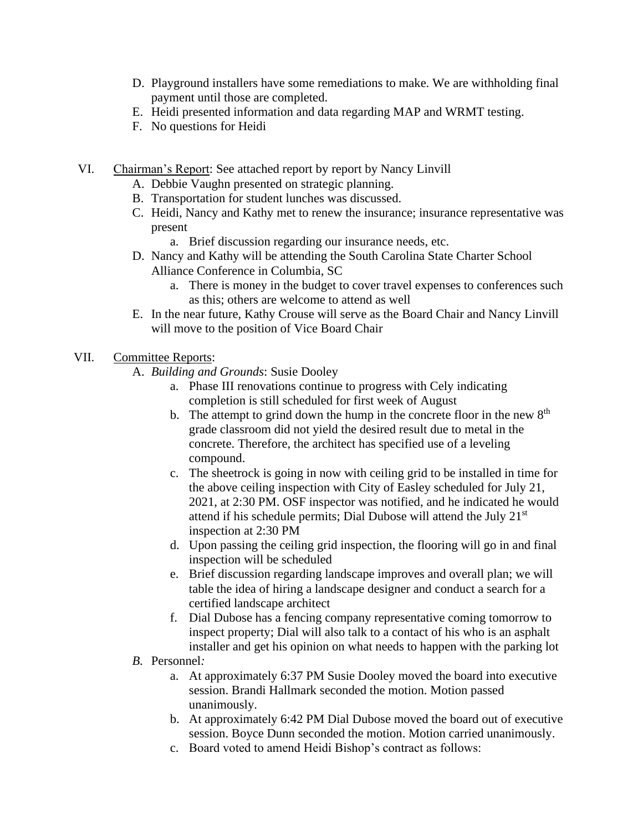- D. Playground installers have some remediations to make. We are withholding final payment until those are completed.
- E. Heidi presented information and data regarding MAP and WRMT testing.
- F. No questions for Heidi
- VI. Chairman's Report: See attached report by report by Nancy Linvill
	- A. Debbie Vaughn presented on strategic planning.
	- B. Transportation for student lunches was discussed.
	- C. Heidi, Nancy and Kathy met to renew the insurance; insurance representative was present

a. Brief discussion regarding our insurance needs, etc.

- D. Nancy and Kathy will be attending the South Carolina State Charter School Alliance Conference in Columbia, SC
	- a. There is money in the budget to cover travel expenses to conferences such as this; others are welcome to attend as well
- E. In the near future, Kathy Crouse will serve as the Board Chair and Nancy Linvill will move to the position of Vice Board Chair

## VII. Committee Reports:

- A. *Building and Grounds*: Susie Dooley
	- a. Phase III renovations continue to progress with Cely indicating completion is still scheduled for first week of August
	- b. The attempt to grind down the hump in the concrete floor in the new  $8<sup>th</sup>$ grade classroom did not yield the desired result due to metal in the concrete. Therefore, the architect has specified use of a leveling compound.
	- c. The sheetrock is going in now with ceiling grid to be installed in time for the above ceiling inspection with City of Easley scheduled for July 21, 2021, at 2:30 PM. OSF inspector was notified, and he indicated he would attend if his schedule permits; Dial Dubose will attend the July 21st inspection at 2:30 PM
	- d. Upon passing the ceiling grid inspection, the flooring will go in and final inspection will be scheduled
	- e. Brief discussion regarding landscape improves and overall plan; we will table the idea of hiring a landscape designer and conduct a search for a certified landscape architect
	- f. Dial Dubose has a fencing company representative coming tomorrow to inspect property; Dial will also talk to a contact of his who is an asphalt installer and get his opinion on what needs to happen with the parking lot
- *B.* Personnel*:* 
	- a. At approximately 6:37 PM Susie Dooley moved the board into executive session. Brandi Hallmark seconded the motion. Motion passed unanimously.
	- b. At approximately 6:42 PM Dial Dubose moved the board out of executive session. Boyce Dunn seconded the motion. Motion carried unanimously.
	- c. Board voted to amend Heidi Bishop's contract as follows: